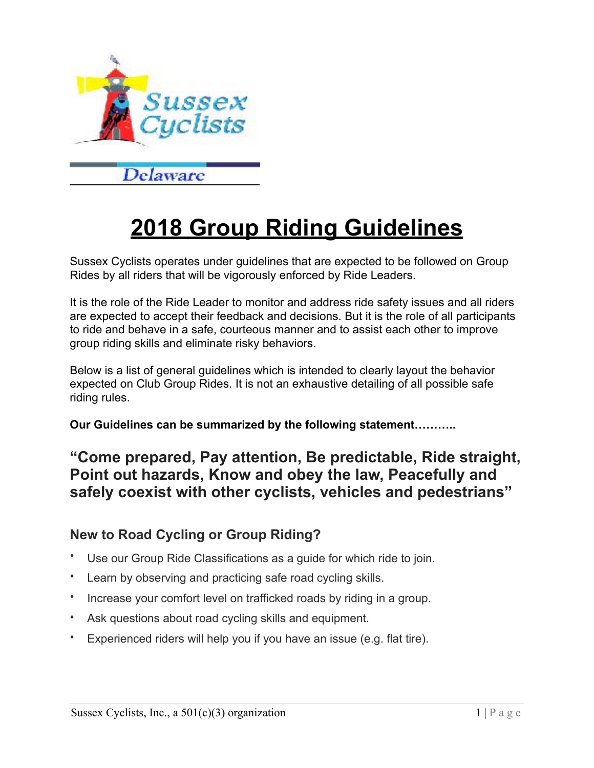

# **2018 Group Riding Guidelines**

Sussex Cyclists operates under guidelines that are expected to be followed on Group Rides by all riders that will be vigorously enforced by Ride Leaders.

It is the role of the Ride Leader to monitor and address ride safety issues and all riders are expected to accept their feedback and decisions. But it is the role of all participants to ride and behave in a safe, courteous manner and to assist each other to improve group riding skills and eliminate risky behaviors.

Below is a list of general guidelines which is intended to clearly layout the behavior expected on Club Group Rides. It is not an exhaustive detailing of all possible safe riding rules.

**Our Guidelines can be summarized by the following statement………..** 

## **"Come prepared, Pay attention, Be predictable, Ride straight, Point out hazards, Know and obey the law, Peacefully and safely coexist with other cyclists, vehicles and pedestrians"**

#### **New to Road Cycling or Group Riding?**

- Use our Group Ride Classifications as a guide for which ride to join.
- Learn by observing and practicing safe road cycling skills.
- Increase your comfort level on trafficked roads by riding in a group.
- Ask questions about road cycling skills and equipment.
- Experienced riders will help you if you have an issue (e.g. flat tire).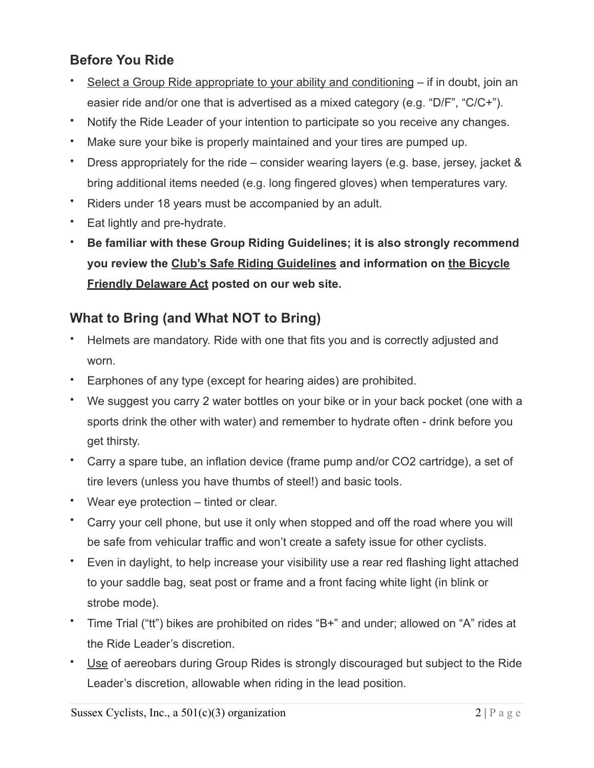## **Before You Ride**

- Select a Group Ride appropriate to your ability and conditioning if in doubt, join an easier ride and/or one that is advertised as a mixed category (e.g. "D/F", "C/C+").
- Notify the Ride Leader of your intention to participate so you receive any changes.
- Make sure your bike is properly maintained and your tires are pumped up.
- Dress appropriately for the ride consider wearing layers (e.g. base, jersey, jacket & bring additional items needed (e.g. long fingered gloves) when temperatures vary.
- Riders under 18 years must be accompanied by an adult.
- Eat lightly and pre-hydrate.
- **Be familiar with these Group Riding Guidelines; it is also strongly recommend you review the Club's Safe Riding Guidelines and information on the Bicycle Friendly Delaware Act posted on our web site.**

#### **What to Bring (and What NOT to Bring)**

- Helmets are mandatory. Ride with one that fits you and is correctly adjusted and worn.
- Earphones of any type (except for hearing aides) are prohibited.
- We suggest you carry 2 water bottles on your bike or in your back pocket (one with a sports drink the other with water) and remember to hydrate often - drink before you get thirsty.
- Carry a spare tube, an inflation device (frame pump and/or CO2 cartridge), a set of tire levers (unless you have thumbs of steel!) and basic tools.
- Wear eye protection tinted or clear.
- Carry your cell phone, but use it only when stopped and off the road where you will be safe from vehicular traffic and won't create a safety issue for other cyclists.
- Even in daylight, to help increase your visibility use a rear red flashing light attached to your saddle bag, seat post or frame and a front facing white light (in blink or strobe mode).
- Time Trial ("tt") bikes are prohibited on rides "B+" and under; allowed on "A" rides at the Ride Leader's discretion.
- Use of aereobars during Group Rides is strongly discouraged but subject to the Ride Leader's discretion, allowable when riding in the lead position.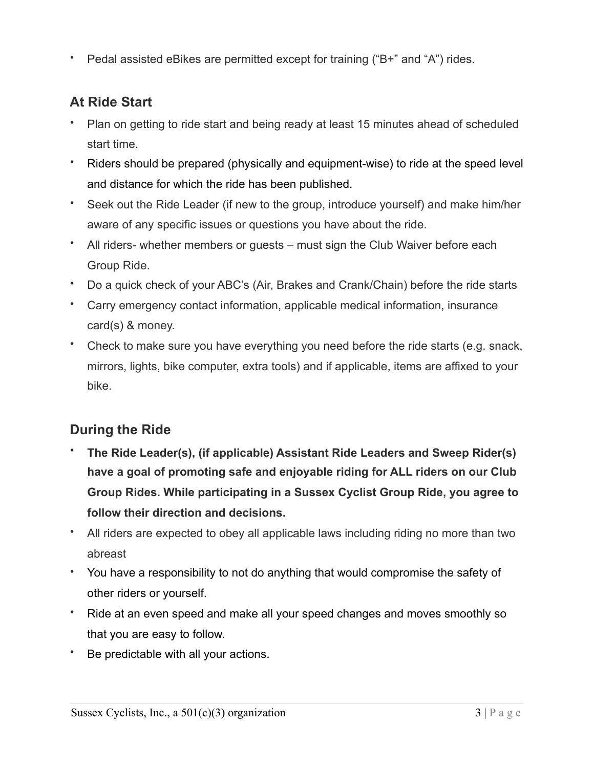• Pedal assisted eBikes are permitted except for training ("B+" and "A") rides.

## **At Ride Start**

- Plan on getting to ride start and being ready at least 15 minutes ahead of scheduled start time.
- Riders should be prepared (physically and equipment-wise) to ride at the speed level and distance for which the ride has been published.
- Seek out the Ride Leader (if new to the group, introduce yourself) and make him/her aware of any specific issues or questions you have about the ride.
- All riders- whether members or guests must sign the Club Waiver before each Group Ride.
- Do a quick check of your ABC's (Air, Brakes and Crank/Chain) before the ride starts
- Carry emergency contact information, applicable medical information, insurance card(s) & money.
- Check to make sure you have everything you need before the ride starts (e.g. snack, mirrors, lights, bike computer, extra tools) and if applicable, items are affixed to your bike.

# **During the Ride**

- **The Ride Leader(s), (if applicable) Assistant Ride Leaders and Sweep Rider(s) have a goal of promoting safe and enjoyable riding for ALL riders on our Club Group Rides. While participating in a Sussex Cyclist Group Ride, you agree to follow their direction and decisions.**
- All riders are expected to obey all applicable laws including riding no more than two abreast
- You have a responsibility to not do anything that would compromise the safety of other riders or yourself.
- Ride at an even speed and make all your speed changes and moves smoothly so that you are easy to follow.
- Be predictable with all your actions.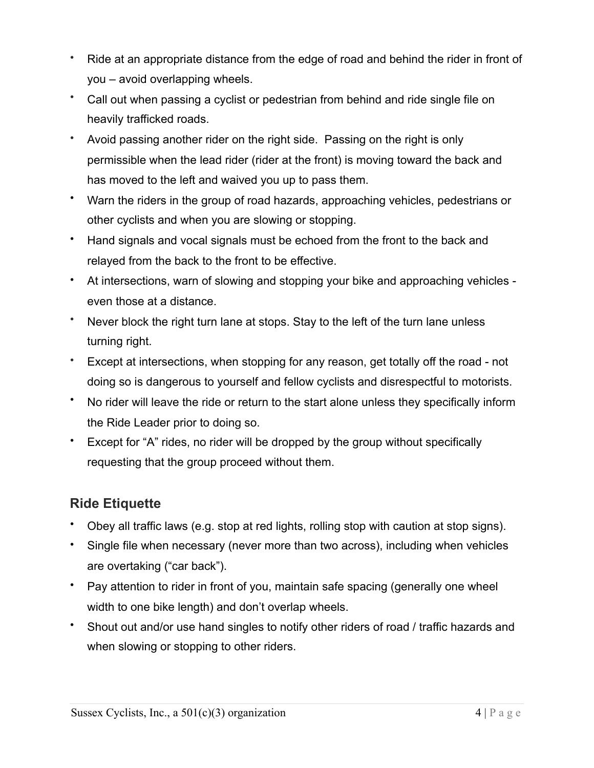- Ride at an appropriate distance from the edge of road and behind the rider in front of you – avoid overlapping wheels.
- Call out when passing a cyclist or pedestrian from behind and ride single file on heavily trafficked roads.
- Avoid passing another rider on the right side. Passing on the right is only permissible when the lead rider (rider at the front) is moving toward the back and has moved to the left and waived you up to pass them.
- Warn the riders in the group of road hazards, approaching vehicles, pedestrians or other cyclists and when you are slowing or stopping.
- Hand signals and vocal signals must be echoed from the front to the back and relayed from the back to the front to be effective.
- At intersections, warn of slowing and stopping your bike and approaching vehicles even those at a distance.
- Never block the right turn lane at stops. Stay to the left of the turn lane unless turning right.
- Except at intersections, when stopping for any reason, get totally off the road not doing so is dangerous to yourself and fellow cyclists and disrespectful to motorists.
- No rider will leave the ride or return to the start alone unless they specifically inform the Ride Leader prior to doing so.
- Except for "A" rides, no rider will be dropped by the group without specifically requesting that the group proceed without them.

## **Ride Etiquette**

- Obey all traffic laws (e.g. stop at red lights, rolling stop with caution at stop signs).
- Single file when necessary (never more than two across), including when vehicles are overtaking ("car back").
- Pay attention to rider in front of you, maintain safe spacing (generally one wheel width to one bike length) and don't overlap wheels.
- Shout out and/or use hand singles to notify other riders of road / traffic hazards and when slowing or stopping to other riders.